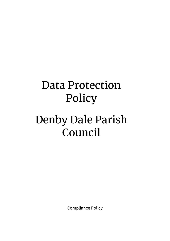# Data Protection Policy

# Denby Dale Parish Council

Compliance Policy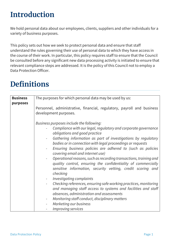# **Introduction**

We hold personal data about our employees, clients, suppliers and other individuals for a variety of business purposes.

This policy sets out how we seek to protect personal data and ensure that staff understand the rules governing their use of personal data to which they have access in the course of their work. In particular, this policy requires staff to ensure that the Council be consulted before any significant new data processing activity is initiated to ensure that relevant compliance steps are addressed. It is the policy of this Council not to employ a Data Protection Officer.

| <b>Business</b><br>purposes | The purposes for which personal data may be used by us:                                                                                                                                                                                                                                                                                                                                                                                                                                                                                                                                                                                                                                                                                                                                                                                                                                 |  |
|-----------------------------|-----------------------------------------------------------------------------------------------------------------------------------------------------------------------------------------------------------------------------------------------------------------------------------------------------------------------------------------------------------------------------------------------------------------------------------------------------------------------------------------------------------------------------------------------------------------------------------------------------------------------------------------------------------------------------------------------------------------------------------------------------------------------------------------------------------------------------------------------------------------------------------------|--|
|                             | Personnel, administrative, financial, regulatory, payroll and business<br>development purposes.                                                                                                                                                                                                                                                                                                                                                                                                                                                                                                                                                                                                                                                                                                                                                                                         |  |
|                             | Business purposes include the following:<br>Compliance with our legal, regulatory and corporate governance<br>obligations and good practice<br>Gathering information as part of investigations by regulatory<br>bodies or in connection with legal proceedings or requests<br>Ensuring business policies are adhered to (such as policies<br>covering email and internet use)<br>Operational reasons, such as recording transactions, training and<br>quality control, ensuring the confidentiality of commercially<br>sensitive information, security vetting, credit scoring and<br>checking<br>Investigating complaints<br>Checking references, ensuring safe working practices, monitoring<br>and managing staff access to systems and facilities and staff<br>absences, administration and assessments<br>Monitoring staff conduct, disciplinary matters<br>Marketing our business |  |
|                             | <b>Improving services</b>                                                                                                                                                                                                                                                                                                                                                                                                                                                                                                                                                                                                                                                                                                                                                                                                                                                               |  |

# **Definitions**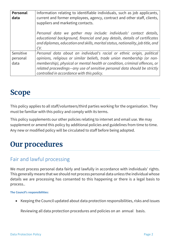| <b>Personal</b><br>data       | Information relating to identifiable individuals, such as job applicants,<br>current and former employees, agency, contract and other staff, clients,<br>suppliers and marketing contacts.                                                                                                                                                                 |  |
|-------------------------------|------------------------------------------------------------------------------------------------------------------------------------------------------------------------------------------------------------------------------------------------------------------------------------------------------------------------------------------------------------|--|
|                               | Personal data we gather may include: individuals' contact details,<br>educational background, financial and pay details, details of certificates<br>and diplomas, education and skills, marital status, nationality, job title, and<br>CV.                                                                                                                 |  |
| Sensitive<br>personal<br>data | Personal data about an individual's racial or ethnic origin, political<br>opinions, religious or similar beliefs, trade union membership (or non-<br>membership), physical or mental health or condition, criminal offences, or<br>related proceedings—any use of sensitive personal data should be strictly<br>controlled in accordance with this policy. |  |

# **Scope**

This policy applies to all staff/volunteers/third parties working for the organisation. They must be familiar with this policy and comply with its terms.

This policy supplements our other policies relating to internet and email use. We may supplement or amend this policy by additional policies and guidelines from time to time. Any new or modified policy will be circulated to staff before being adopted.

# **Our procedures**

# Fair and lawful processing

We must process personal data fairly and lawfully in accordance with individuals' rights. This generally means that we should not process personal data unless the individual whose details we are processing has consented to this happening or there is a legal basis to process..

**The Council's responsibilities:**

• Keeping the Council updated about data protection responsibilities, risks and issues

Reviewing all data protection procedures and policies on an annual basis.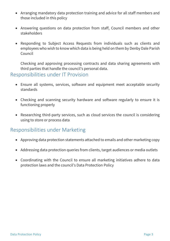- Arranging mandatory data protection training and advice for all staff members and those included in this policy
- Answering questions on data protection from staff, Council members and other stakeholders
- Responding to Subject Access Requests from individuals such as clients and employees who wish to know which data is being held on them by Denby Dale Parish Council

Checking and approving processing contracts and data sharing agreements with third parties that handle the council's personal data.

#### Responsibilities under IT Provision

- Ensure all systems, services, software and equipment meet acceptable security standards
- Checking and scanning security hardware and software regularly to ensure it is functioning properly
- Researching third-party services, such as cloud services the council is considering using to store or process data

#### Responsibilities under Marketing

- Approving data protection statements attached to emails and other marketing copy
- Addressing data protection queries from clients, target audiences or media outlets
- Coordinating with the Council to ensure all marketing initiatives adhere to data protection laws and the council's Data Protection Policy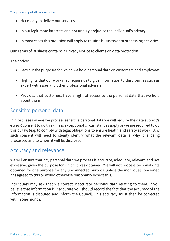- Necessary to deliver our services
- In our legitimate interests and not unduly prejudice the individual's privacy
- In most cases this provision will apply to routine business data processing activities.

Our Terms of Business contains a Privacy Notice to clients on data protection.

The notice:

- Sets out the purposes for which we hold personal data on customers and employees
- Highlights that our work may require us to give information to third parties such as expert witnesses and other professional advisers
- Provides that customers have a right of access to the personal data that we hold about them

# Sensitive personal data

In most cases where we process sensitive personal data we will require the data subject's *explicit* consent to do this unless exceptional circumstances apply or we are required to do this by law (e.g. to comply with legal obligations to ensure health and safety at work). Any such consent will need to clearly identify what the relevant data is, why it is being processed and to whom it will be disclosed.

# Accuracy and relevance

We will ensure that any personal data we process is accurate, adequate, relevant and not excessive, given the purpose for which it was obtained. We will not process personal data obtained for one purpose for any unconnected purpose unless the individual concerned has agreed to this or would otherwise reasonably expect this.

Individuals may ask that we correct inaccurate personal data relating to them. If you believe that information is inaccurate you should record the fact that the accuracy of the information is disputed and inform the Council. This accuracy must then be corrected within one month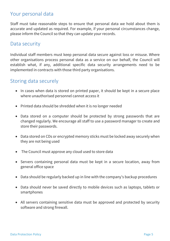### Your personal data

Staff must take reasonable steps to ensure that personal data we hold about them is accurate and updated as required. For example, if your personal circumstances change, please inform the Council so that they can update your records.

#### Data security

Individual staff members must keep personal data secure against loss or misuse. Where other organisations process personal data as a service on our behalf, the Council will establish what, if any, additional specific data security arrangements need to be implemented in contracts with those third party organisations.

#### Storing data securely

- In cases when data is stored on printed paper, it should be kept in a secure place where unauthorised personnel cannot access it
- Printed data should be shredded when it is no longer needed
- Data stored on a computer should be protected by strong passwords that are changed regularly. We encourage all staff to use a [password manager](http://cybersecurityzen.com/cybersecurity/keep-data-safe-rise-password-managers-1654/) to create and store their passwords.
- Data stored on CDs or encrypted memory sticks must be locked away securely when they are not being used
- The Council must approve any cloud used to store data
- Servers containing personal data must be kept in a secure location, away from general office space
- Data should be regularly backed up in line with the company's backup procedures
- Data should never be saved directly to mobile devices such as laptops, tablets or smartphones
- All servers containing sensitive data must be approved and protected by security software and strong firewall.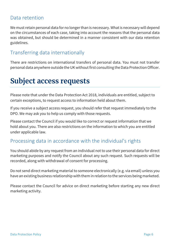### Data retention

We must retain personal data for no longer than is necessary. What is necessary will depend on the circumstances of each case, taking into account the reasons that the personal data was obtained, but should be determined in a manner consistent with our data retention guidelines.

# Transferring data internationally

There are restrictions on international transfers of personal data. You must not transfer personal data anywhere outside the UK without first consulting the Data Protection Officer.

# **Subject access requests**

Please note that under the Data Protection Act 2018, individuals are entitled, subject to certain exceptions, to request access to information held about them.

If you receive a subject access request, you should refer that request immediately to the DPO. We may ask you to help us comply with those requests.

Please contact the Council if you would like to correct or request information that we hold about you. There are also restrictions on the information to which you are entitled under applicable law.

### Processing data in accordance with the individual's rights

You should abide by any request from an individual not to use their personal data for direct marketing purposes and notify the Council about any such request. Such requests will be recorded, along with withdrawal of consent for processing.

Do not send direct marketing material to someone electronically (e.g. via email) unless you have an existing business relationship with them in relation to the services being marketed.

Please contact the Council for advice on direct marketing before starting any new direct marketing activity.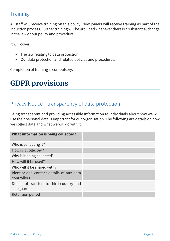# **Training**

All staff will receive training on this policy. New joiners will receive training as part of the induction process. Further training will be provided whenever there is a substantial change in the law or our policy and procedure.

It will cover:

- The law relating to data protection
- Our data protection and related policies and procedures.

Completion of training is compulsory.

# **GDPR provisions**

# Privacy Notice - transparency of data protection

Being transparent and providing accessible information to individuals about how we will use their personal data is important for our organisation. The following are details on how we collect data and what we will do with it:

| What information is being collected?                    |  |
|---------------------------------------------------------|--|
| Who is collecting it?                                   |  |
| How is it collected?                                    |  |
| Why is it being collected?                              |  |
| How will it be used?                                    |  |
| Who will it be shared with?                             |  |
| Identity and contact details of any data<br>controllers |  |
| Details of transfers to third country and<br>safeguards |  |
| Retention period                                        |  |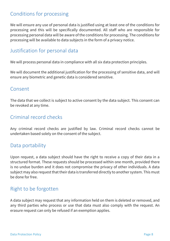# Conditions for processing

We will ensure any use of personal data is justified using at least one of the conditions for processing and this will be specifically documented. All staff who are responsible for processing personal data will be aware of the conditions for processing. The conditions for processing will be available to data subjects in the form of a privacy notice.

# Justification for personal data

We will process personal data in compliance with all six data protection principles.

We will document the additional justification for the processing of sensitive data, and will ensure any biometric and genetic data is considered sensitive.

#### Consent

The data that we collect is subject to active consent by the data subject. This consent can be revoked at any time.

### Criminal record checks

Any criminal record checks are justified by law. Criminal record checks cannot be undertaken based solely on the consent of the subject.

#### Data portability

Upon request, a data subject should have the right to receive a copy of their data in a structured format. These requests should be processed within one month, provided there is no undue burden and it does not compromise the privacy of other individuals. A data subject may also request that their data is transferred directly to another system. This must be done for free.

# Right to be forgotten

A data subject may request that any information held on them is deleted or removed, and any third parties who process or use that data must also comply with the request. An erasure request can only be refused if an exemption applies.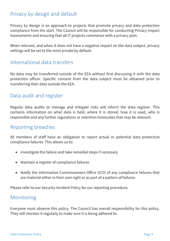# Privacy by design and default

Privacy by design is an approach to projects that promote privacy and data protection compliance from the start. The Council will be responsible for conducting Privacy Impact Assessments and ensuring that all IT projects commence with a privacy plan.

When relevant, and when it does not have a negative impact on the data subject, privacy settings will be set to the most private by default.

#### International data transfers

No data may be transferred outside of the EEA without first discussing it with the data protection officer. Specific consent from the data subject must be obtained prior to transferring their data outside the EEA.

#### Data audit and register

Regular data audits to manage and mitigate risks will inform the data register. This contains information on what data is held, where it is stored, how it is used, who is responsible and any further regulations or retention timescales that may be relevant.

#### Reporting breaches

All members of staff have an obligation to report actual or potential data protection compliance failures. This allows us to:

- Investigate the failure and take remedial steps if necessary
- Maintain a register of compliance failures
- Notify the Information Commissioners Office (ICO) of any compliance failures that are material either in their own right or as part of a pattern of failures

Please refer to our Security Incident Policy for our reporting procedure.

#### Monitoring

Everyone must observe this policy. The Council has overall responsibility for this policy. They will monitor it regularly to make sure it is being adhered to.